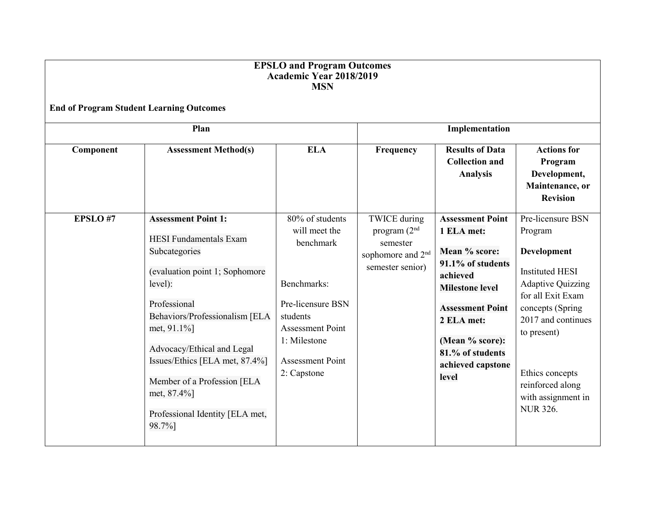| <b>EPSLO</b> and Program Outcomes<br><b>Academic Year 2018/2019</b><br><b>MSN</b><br><b>End of Program Student Learning Outcomes</b> |                                                                                                                                                                                                                                                                                                                                                       |                                                                                                                                                                                    |                                                                                                        |                                                                                                                                                                                                                                 |                                                                                                                                                                                                                                                                        |  |
|--------------------------------------------------------------------------------------------------------------------------------------|-------------------------------------------------------------------------------------------------------------------------------------------------------------------------------------------------------------------------------------------------------------------------------------------------------------------------------------------------------|------------------------------------------------------------------------------------------------------------------------------------------------------------------------------------|--------------------------------------------------------------------------------------------------------|---------------------------------------------------------------------------------------------------------------------------------------------------------------------------------------------------------------------------------|------------------------------------------------------------------------------------------------------------------------------------------------------------------------------------------------------------------------------------------------------------------------|--|
|                                                                                                                                      |                                                                                                                                                                                                                                                                                                                                                       |                                                                                                                                                                                    |                                                                                                        |                                                                                                                                                                                                                                 |                                                                                                                                                                                                                                                                        |  |
| Component                                                                                                                            | <b>Assessment Method(s)</b>                                                                                                                                                                                                                                                                                                                           | <b>ELA</b>                                                                                                                                                                         | Frequency                                                                                              | <b>Results of Data</b><br><b>Collection and</b><br><b>Analysis</b>                                                                                                                                                              | <b>Actions for</b><br>Program<br>Development,<br>Maintenance, or<br><b>Revision</b>                                                                                                                                                                                    |  |
| EPSLO#7                                                                                                                              | <b>Assessment Point 1:</b><br><b>HESI</b> Fundamentals Exam<br>Subcategories<br>(evaluation point 1; Sophomore<br>level):<br>Professional<br>Behaviors/Professionalism [ELA<br>met, 91.1%]<br>Advocacy/Ethical and Legal<br>Issues/Ethics [ELA met, 87.4%]<br>Member of a Profession [ELA<br>met, 87.4%]<br>Professional Identity [ELA met,<br>98.7%] | 80% of students<br>will meet the<br>benchmark<br>Benchmarks:<br>Pre-licensure BSN<br>students<br><b>Assessment Point</b><br>1: Milestone<br><b>Assessment Point</b><br>2: Capstone | <b>TWICE</b> during<br>program $(2nd$<br>semester<br>sophomore and 2 <sup>nd</sup><br>semester senior) | <b>Assessment Point</b><br>1 ELA met:<br>Mean % score:<br>91.1% of students<br>achieved<br><b>Milestone level</b><br><b>Assessment Point</b><br>2 ELA met:<br>(Mean % score):<br>81.% of students<br>achieved capstone<br>level | Pre-licensure BSN<br>Program<br><b>Development</b><br><b>Instituted HESI</b><br><b>Adaptive Quizzing</b><br>for all Exit Exam<br>concepts (Spring<br>2017 and continues<br>to present)<br>Ethics concepts<br>reinforced along<br>with assignment in<br><b>NUR 326.</b> |  |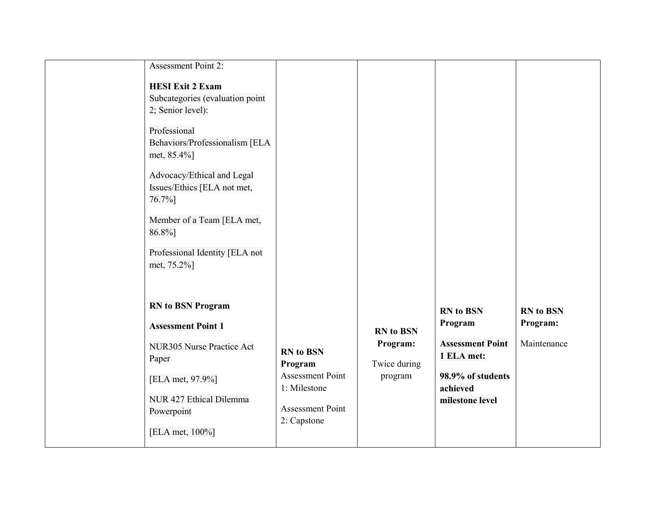| <b>Assessment Point 2:</b>           |                         |                  |                         |                  |
|--------------------------------------|-------------------------|------------------|-------------------------|------------------|
| <b>HESI Exit 2 Exam</b>              |                         |                  |                         |                  |
| Subcategories (evaluation point      |                         |                  |                         |                  |
| 2; Senior level):                    |                         |                  |                         |                  |
|                                      |                         |                  |                         |                  |
| Professional                         |                         |                  |                         |                  |
| Behaviors/Professionalism [ELA       |                         |                  |                         |                  |
| met, 85.4%]                          |                         |                  |                         |                  |
| Advocacy/Ethical and Legal           |                         |                  |                         |                  |
| Issues/Ethics [ELA not met,          |                         |                  |                         |                  |
| 76.7%]                               |                         |                  |                         |                  |
|                                      |                         |                  |                         |                  |
| Member of a Team [ELA met,<br>86.8%] |                         |                  |                         |                  |
|                                      |                         |                  |                         |                  |
| Professional Identity [ELA not       |                         |                  |                         |                  |
| met, 75.2%]                          |                         |                  |                         |                  |
|                                      |                         |                  |                         |                  |
|                                      |                         |                  |                         |                  |
| <b>RN</b> to BSN Program             |                         |                  | <b>RN</b> to BSN        | <b>RN</b> to BSN |
| <b>Assessment Point 1</b>            |                         |                  | Program                 | Program:         |
|                                      |                         | <b>RN</b> to BSN |                         |                  |
| NUR305 Nurse Practice Act            | <b>RN</b> to BSN        | Program:         | <b>Assessment Point</b> | Maintenance      |
| Paper                                | Program                 | Twice during     | 1 ELA met:              |                  |
| [ELA met, 97.9%]                     | <b>Assessment Point</b> | program          | 98.9% of students       |                  |
|                                      | 1: Milestone            |                  | achieved                |                  |
| NUR 427 Ethical Dilemma              |                         |                  | milestone level         |                  |
| Powerpoint                           | <b>Assessment Point</b> |                  |                         |                  |
| [ELA met, 100%]                      | 2: Capstone             |                  |                         |                  |
|                                      |                         |                  |                         |                  |
|                                      |                         |                  |                         |                  |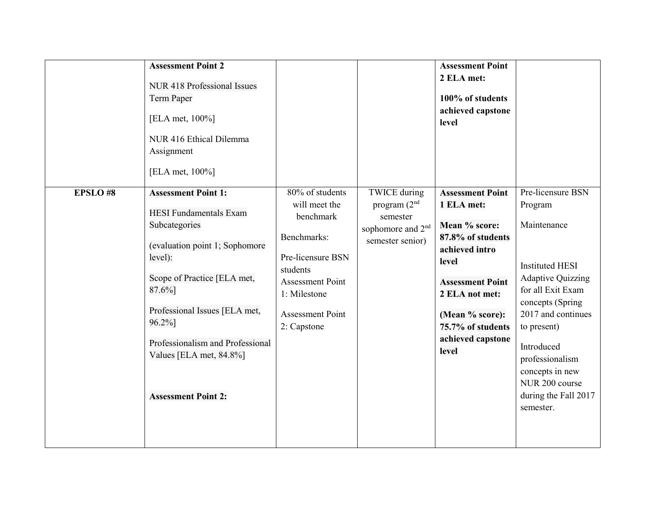| <b>EPSLO#8</b> | <b>Assessment Point 2</b><br>NUR 418 Professional Issues<br>Term Paper<br>[ELA met, 100%]<br>NUR 416 Ethical Dilemma<br>Assignment<br>[ELA met, 100%]<br><b>Assessment Point 1:</b>                                                                                          | 80% of students                                                                                                                                                 | <b>TWICE</b> during                                                             | <b>Assessment Point</b><br>2 ELA met:<br>100% of students<br>achieved capstone<br>level<br><b>Assessment Point</b>                                                                             | Pre-licensure BSN                                                                                                                                                                                                                                                     |
|----------------|------------------------------------------------------------------------------------------------------------------------------------------------------------------------------------------------------------------------------------------------------------------------------|-----------------------------------------------------------------------------------------------------------------------------------------------------------------|---------------------------------------------------------------------------------|------------------------------------------------------------------------------------------------------------------------------------------------------------------------------------------------|-----------------------------------------------------------------------------------------------------------------------------------------------------------------------------------------------------------------------------------------------------------------------|
|                | <b>HESI</b> Fundamentals Exam<br>Subcategories<br>(evaluation point 1; Sophomore<br>level):<br>Scope of Practice [ELA met,<br>87.6%]<br>Professional Issues [ELA met,<br>96.2%]<br>Professionalism and Professional<br>Values [ELA met, 84.8%]<br><b>Assessment Point 2:</b> | will meet the<br>benchmark<br>Benchmarks:<br>Pre-licensure BSN<br>students<br><b>Assessment Point</b><br>1: Milestone<br><b>Assessment Point</b><br>2: Capstone | program $(2nd$<br>semester<br>sophomore and 2 <sup>nd</sup><br>semester senior) | 1 ELA met:<br>Mean % score:<br>87.8% of students<br>achieved intro<br>level<br><b>Assessment Point</b><br>2 ELA not met:<br>(Mean % score):<br>75.7% of students<br>achieved capstone<br>level | Program<br>Maintenance<br><b>Instituted HESI</b><br><b>Adaptive Quizzing</b><br>for all Exit Exam<br>concepts (Spring<br>2017 and continues<br>to present)<br>Introduced<br>professionalism<br>concepts in new<br>NUR 200 course<br>during the Fall 2017<br>semester. |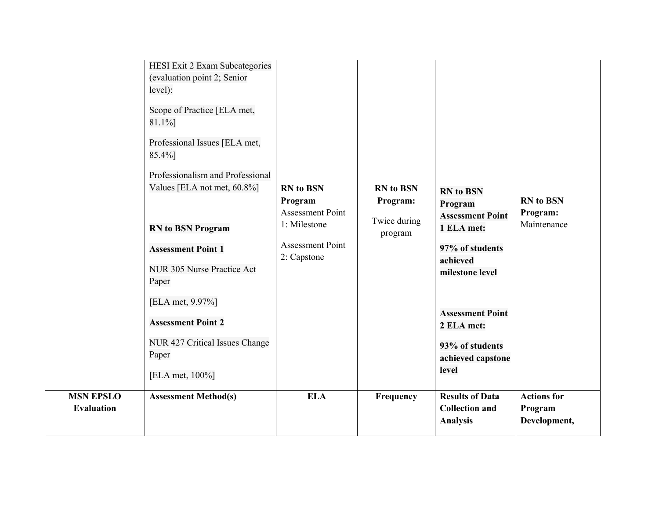| <b>MSN EPSLO</b>  | HESI Exit 2 Exam Subcategories<br>(evaluation point 2; Senior<br>level):<br>Scope of Practice [ELA met,<br>81.1%]<br>Professional Issues [ELA met,<br>85.4%]<br>Professionalism and Professional<br>Values [ELA not met, 60.8%]<br><b>RN</b> to BSN Program<br><b>Assessment Point 1</b><br>NUR 305 Nurse Practice Act<br>Paper<br>[ELA met, 9.97%]<br><b>Assessment Point 2</b><br>NUR 427 Critical Issues Change<br>Paper<br>[ELA met, 100%]<br><b>Assessment Method(s)</b> | <b>RN</b> to BSN<br>Program<br><b>Assessment Point</b><br>1: Milestone<br><b>Assessment Point</b><br>2: Capstone<br><b>ELA</b> | <b>RN</b> to BSN<br>Program:<br>Twice during<br>program<br>Frequency | <b>RN</b> to BSN<br>Program<br><b>Assessment Point</b><br>1 ELA met:<br>97% of students<br>achieved<br>milestone level<br><b>Assessment Point</b><br>2 ELA met:<br>93% of students<br>achieved capstone<br>level<br><b>Results of Data</b> | <b>RN</b> to BSN<br>Program:<br>Maintenance<br><b>Actions for</b> |
|-------------------|-------------------------------------------------------------------------------------------------------------------------------------------------------------------------------------------------------------------------------------------------------------------------------------------------------------------------------------------------------------------------------------------------------------------------------------------------------------------------------|--------------------------------------------------------------------------------------------------------------------------------|----------------------------------------------------------------------|--------------------------------------------------------------------------------------------------------------------------------------------------------------------------------------------------------------------------------------------|-------------------------------------------------------------------|
| <b>Evaluation</b> |                                                                                                                                                                                                                                                                                                                                                                                                                                                                               |                                                                                                                                |                                                                      | <b>Collection and</b><br><b>Analysis</b>                                                                                                                                                                                                   | Program<br>Development,                                           |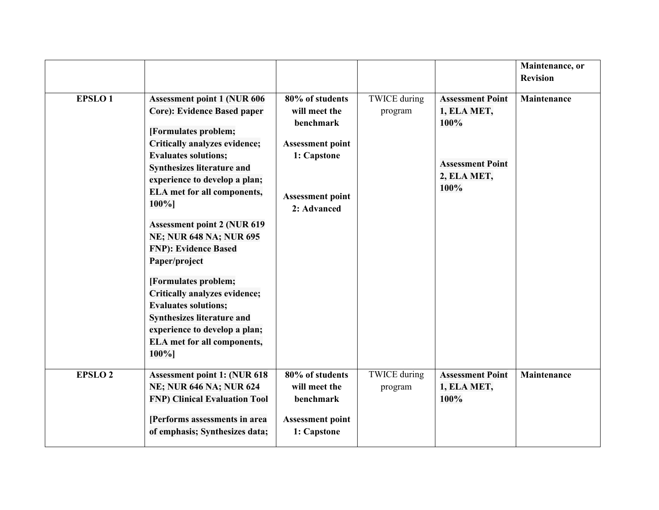|                |                                                                                                                                                                                                                                                                                                                                       |                                                                                                                                   |                                |                                                                                                  | Maintenance, or<br><b>Revision</b> |
|----------------|---------------------------------------------------------------------------------------------------------------------------------------------------------------------------------------------------------------------------------------------------------------------------------------------------------------------------------------|-----------------------------------------------------------------------------------------------------------------------------------|--------------------------------|--------------------------------------------------------------------------------------------------|------------------------------------|
| <b>EPSLO1</b>  | <b>Assessment point 1 (NUR 606)</b><br><b>Core): Evidence Based paper</b><br>[Formulates problem;<br>Critically analyzes evidence;<br><b>Evaluates solutions;</b><br><b>Synthesizes literature and</b><br>experience to develop a plan;<br><b>ELA</b> met for all components,<br>$100%$ ]                                             | 80% of students<br>will meet the<br>benchmark<br><b>Assessment point</b><br>1: Capstone<br><b>Assessment point</b><br>2: Advanced | <b>TWICE</b> during<br>program | <b>Assessment Point</b><br>1, ELA MET,<br>100%<br><b>Assessment Point</b><br>2, ELA MET,<br>100% | Maintenance                        |
|                | <b>Assessment point 2 (NUR 619</b><br><b>NE; NUR 648 NA; NUR 695</b><br><b>FNP</b> ): Evidence Based<br>Paper/project<br>[Formulates problem;<br>Critically analyzes evidence;<br><b>Evaluates solutions;</b><br><b>Synthesizes literature and</b><br>experience to develop a plan;<br><b>ELA</b> met for all components,<br>$100%$ ] |                                                                                                                                   |                                |                                                                                                  |                                    |
| <b>EPSLO 2</b> | <b>Assessment point 1: (NUR 618</b><br><b>NE; NUR 646 NA; NUR 624</b><br><b>FNP) Clinical Evaluation Tool</b><br>[Performs assessments in area<br>of emphasis; Synthesizes data;                                                                                                                                                      | 80% of students<br>will meet the<br>benchmark<br><b>Assessment point</b><br>1: Capstone                                           | <b>TWICE</b> during<br>program | <b>Assessment Point</b><br>1, ELA MET,<br>100%                                                   | <b>Maintenance</b>                 |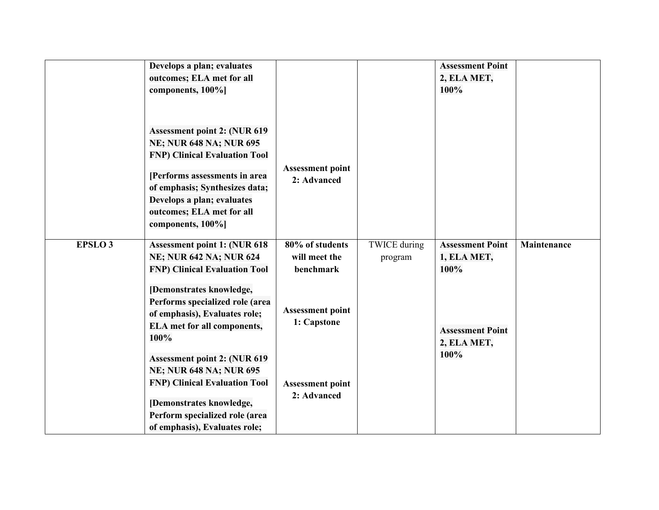|                | Develops a plan; evaluates<br>outcomes; ELA met for all          |                                        |                     | <b>Assessment Point</b><br>2, ELA MET, |             |
|----------------|------------------------------------------------------------------|----------------------------------------|---------------------|----------------------------------------|-------------|
|                | components, 100%]                                                |                                        |                     | 100%                                   |             |
|                | <b>Assessment point 2: (NUR 619)</b>                             |                                        |                     |                                        |             |
|                | <b>NE; NUR 648 NA; NUR 695</b>                                   |                                        |                     |                                        |             |
|                | <b>FNP) Clinical Evaluation Tool</b>                             |                                        |                     |                                        |             |
|                | [Performs assessments in area]<br>of emphasis; Synthesizes data; | <b>Assessment point</b><br>2: Advanced |                     |                                        |             |
|                | Develops a plan; evaluates                                       |                                        |                     |                                        |             |
|                | outcomes; ELA met for all<br>components, 100%]                   |                                        |                     |                                        |             |
|                |                                                                  |                                        |                     |                                        |             |
| <b>EPSLO 3</b> | <b>Assessment point 1: (NUR 618)</b>                             | 80% of students                        | <b>TWICE</b> during | <b>Assessment Point</b>                | Maintenance |
|                | <b>NE; NUR 642 NA; NUR 624</b>                                   | will meet the                          | program             | 1, ELA MET,                            |             |
|                | <b>FNP) Clinical Evaluation Tool</b>                             | benchmark                              |                     | 100%                                   |             |
|                | [Demonstrates knowledge,<br>Performs specialized role (area      |                                        |                     |                                        |             |
|                | of emphasis), Evaluates role;                                    | <b>Assessment point</b>                |                     |                                        |             |
|                | <b>ELA</b> met for all components,<br>100%                       | 1: Capstone                            |                     | <b>Assessment Point</b>                |             |
|                |                                                                  |                                        |                     | 2, ELA MET,<br>100%                    |             |
|                | <b>Assessment point 2: (NUR 619)</b>                             |                                        |                     |                                        |             |
|                | <b>NE; NUR 648 NA; NUR 695</b>                                   |                                        |                     |                                        |             |
|                | <b>FNP) Clinical Evaluation Tool</b>                             | <b>Assessment point</b><br>2: Advanced |                     |                                        |             |
|                | [Demonstrates knowledge,                                         |                                        |                     |                                        |             |
|                | Perform specialized role (area                                   |                                        |                     |                                        |             |
|                | of emphasis), Evaluates role;                                    |                                        |                     |                                        |             |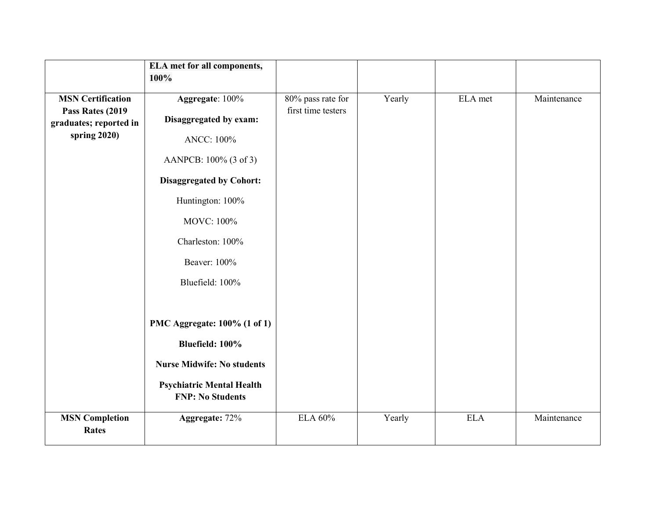|                                       | <b>ELA</b> met for all components,                          |                    |        |            |             |
|---------------------------------------|-------------------------------------------------------------|--------------------|--------|------------|-------------|
|                                       | 100%                                                        |                    |        |            |             |
| <b>MSN Certification</b>              | Aggregate: 100%                                             | 80% pass rate for  | Yearly | ELA met    | Maintenance |
| Pass Rates (2019                      |                                                             | first time testers |        |            |             |
| graduates; reported in                | Disaggregated by exam:                                      |                    |        |            |             |
| spring 2020)                          | <b>ANCC: 100%</b>                                           |                    |        |            |             |
|                                       | AANPCB: 100% (3 of 3)                                       |                    |        |            |             |
|                                       | <b>Disaggregated by Cohort:</b>                             |                    |        |            |             |
|                                       | Huntington: 100%                                            |                    |        |            |             |
|                                       | <b>MOVC: 100%</b>                                           |                    |        |            |             |
|                                       | Charleston: 100%                                            |                    |        |            |             |
|                                       | Beaver: 100%                                                |                    |        |            |             |
|                                       | Bluefield: 100%                                             |                    |        |            |             |
|                                       |                                                             |                    |        |            |             |
|                                       | PMC Aggregate: 100% (1 of 1)                                |                    |        |            |             |
|                                       | Bluefield: 100%                                             |                    |        |            |             |
|                                       | <b>Nurse Midwife: No students</b>                           |                    |        |            |             |
|                                       | <b>Psychiatric Mental Health</b><br><b>FNP: No Students</b> |                    |        |            |             |
| <b>MSN Completion</b><br><b>Rates</b> | Aggregate: 72%                                              | <b>ELA 60%</b>     | Yearly | <b>ELA</b> | Maintenance |